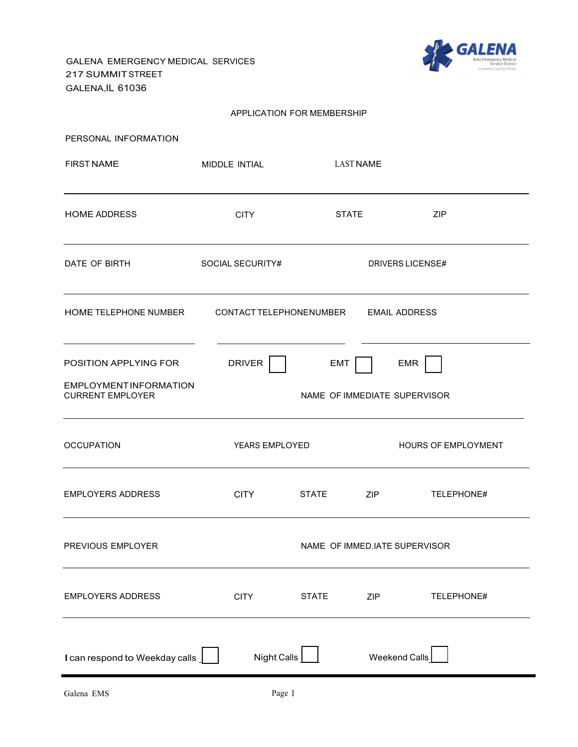GALENA EMERGENCY MEDICAL SERVICES 217 SUMMITSTREET GALENA,IL 61036



#### APPLICATION FOR MEMBERSHIP

| PERSONAL INFORMATION                                                             |                               |                                            |                      |                         |
|----------------------------------------------------------------------------------|-------------------------------|--------------------------------------------|----------------------|-------------------------|
| <b>FIRST NAME</b>                                                                | MIDDLE INTIAL                 | <b>LAST NAME</b>                           |                      |                         |
| <b>HOME ADDRESS</b>                                                              | <b>CITY</b>                   | <b>STATE</b>                               |                      | ZIP                     |
| DATE OF BIRTH                                                                    | SOCIAL SECURITY#              |                                            |                      | <b>DRIVERS LICENSE#</b> |
| HOME TELEPHONE NUMBER                                                            | CONTACT TELEPHONENUMBER       |                                            |                      | <b>EMAIL ADDRESS</b>    |
| POSITION APPLYING FOR<br><b>EMPLOYMENTINFORMATION</b><br><b>CURRENT EMPLOYER</b> | <b>DRIVER</b>                 | <b>EMT</b><br>NAME OF IMMEDIATE SUPERVISOR |                      | EMR                     |
| <b>OCCUPATION</b>                                                                | YEARS EMPLOYED                |                                            |                      | HOURS OF EMPLOYMENT     |
| <b>EMPLOYERS ADDRESS</b>                                                         | <b>CITY</b>                   | <b>STATE</b>                               | ZIP                  | TELEPHONE#              |
| PREVIOUS EMPLOYER                                                                | NAME OF IMMED.IATE SUPERVISOR |                                            |                      |                         |
| <b>EMPLOYERS ADDRESS</b>                                                         | <b>CITY</b>                   | <b>STATE</b>                               | ZIP                  | TELEPHONE#              |
| I can respond to Weekday calls                                                   | Night Calls                   |                                            | <b>Weekend Calls</b> |                         |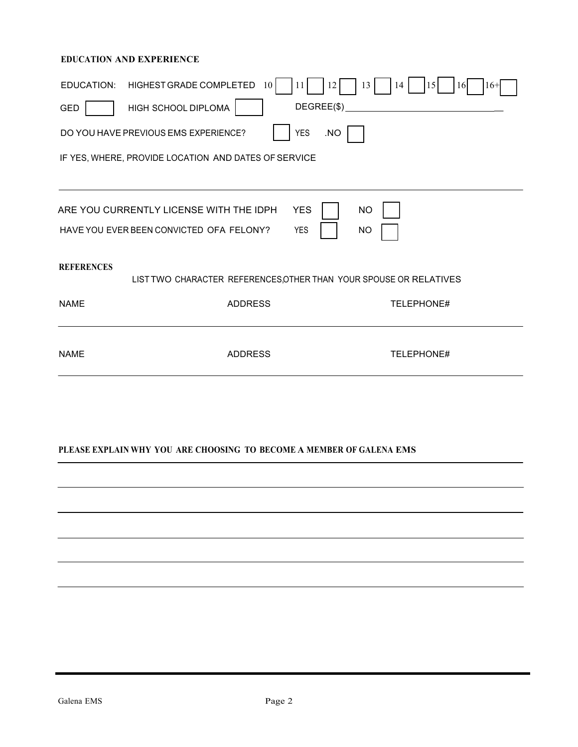## **EDUCATION AND EXPERIENCE**

| HIGHEST GRADE COMPLETED<br>13<br>EDUCATION:<br>12<br>14<br> 15 <br>10<br>11<br>16<br>$16+$ |  |
|--------------------------------------------------------------------------------------------|--|
| DEGREE(\$)<br>HIGH SCHOOL DIPLOMA<br>GED                                                   |  |
| <b>YES</b><br>.NO<br>DO YOU HAVE PREVIOUS EMS EXPERIENCE?                                  |  |
| IF YES, WHERE, PROVIDE LOCATION AND DATES OF SERVICE                                       |  |
|                                                                                            |  |
| ARE YOU CURRENTLY LICENSE WITH THE IDPH<br><b>YES</b><br><b>NO</b>                         |  |
| HAVE YOU EVER BEEN CONVICTED OFA FELONY?<br><b>YES</b><br><b>NO</b>                        |  |
| <b>REFERENCES</b>                                                                          |  |
| LIST TWO CHARACTER REFERENCES, OTHER THAN YOUR SPOUSE OR RELATIVES                         |  |
| <b>NAMF</b><br><b>ADDRESS</b><br><b>TELEPHONE#</b>                                         |  |
|                                                                                            |  |
| <b>NAME</b><br><b>ADDRESS</b><br>TELEPHONE#                                                |  |
|                                                                                            |  |
|                                                                                            |  |

## **PLEASE EXPLAIN WHY YOU ARE CHOOSING TO BECOME A MEMBER OF GALENA EMS**

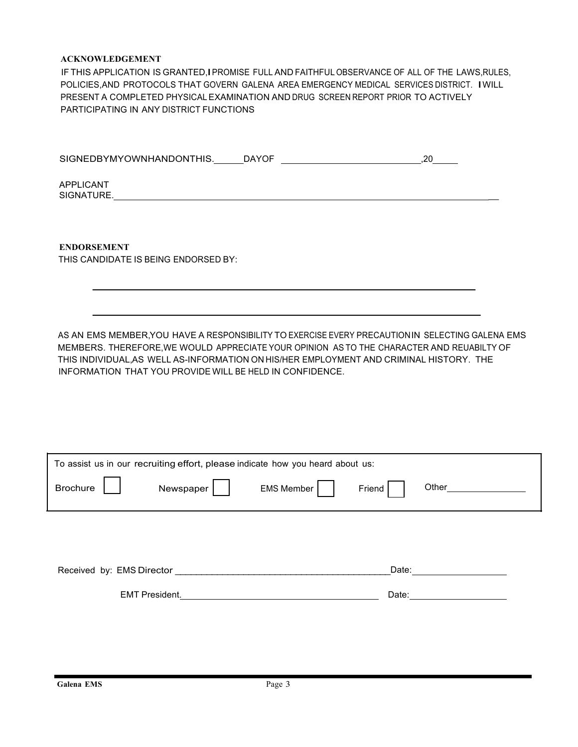#### **ACKNOWLEDGEMENT**

IF THIS APPLICATION IS GRANTED,IPROMISE FULL AND FAITHFUL OBSERVANCE OF ALL OF THE LAWS,RULES, POLICIES,AND PROTOCOLS THAT GOVERN GALENA AREA EMERGENCY MEDICAL SERVICES DISTRICT. IWILL PRESENT A COMPLETED PHYSICALEXAMINATION AND DRUG SCREEN REPORT PRIOR TO ACTIVELY PARTICIPATING IN ANY DISTRICT FUNCTIONS

| SIGNEDBYMYOWNHANDONTHIS. DAYOF                                                                                                                                                                                                                                                           |  | .20 |
|------------------------------------------------------------------------------------------------------------------------------------------------------------------------------------------------------------------------------------------------------------------------------------------|--|-----|
| APPLICANT                                                                                                                                                                                                                                                                                |  |     |
|                                                                                                                                                                                                                                                                                          |  |     |
| <b>ENDORSEMENT</b>                                                                                                                                                                                                                                                                       |  |     |
| THIS CANDIDATE IS BEING ENDORSED BY:                                                                                                                                                                                                                                                     |  |     |
|                                                                                                                                                                                                                                                                                          |  |     |
| AS AN EMS MEMBER, YOU HAVE A RESPONSIBILITY TO EXERCISE EVERY PRECAUTION IN SELECTING GALENA EMS<br>MEMBERS. THEREFORE, WE WOULD APPRECIATE YOUR OPINION AS TO THE CHARACTER AND REUABILTY OF<br>THIS INDIVIDUAL, AS WELL AS-INFORMATION ON HIS/HER EMPLOYMENT AND CRIMINAL HISTORY. THE |  |     |
| INFORMATION THAT YOU PROVIDE WILL BE HELD IN CONFIDENCE.                                                                                                                                                                                                                                 |  |     |
|                                                                                                                                                                                                                                                                                          |  |     |
|                                                                                                                                                                                                                                                                                          |  |     |

| To assist us in our recruiting effort, please indicate how you heard about us: |                       |            |        |       |
|--------------------------------------------------------------------------------|-----------------------|------------|--------|-------|
| <b>Brochure</b>                                                                | Newspaper             | EMS Member | Friend | Other |
|                                                                                |                       |            |        |       |
| Received by: EMS Director                                                      |                       |            | Date:  |       |
|                                                                                | <b>EMT President.</b> |            | Date:  |       |
|                                                                                |                       |            |        |       |

'n